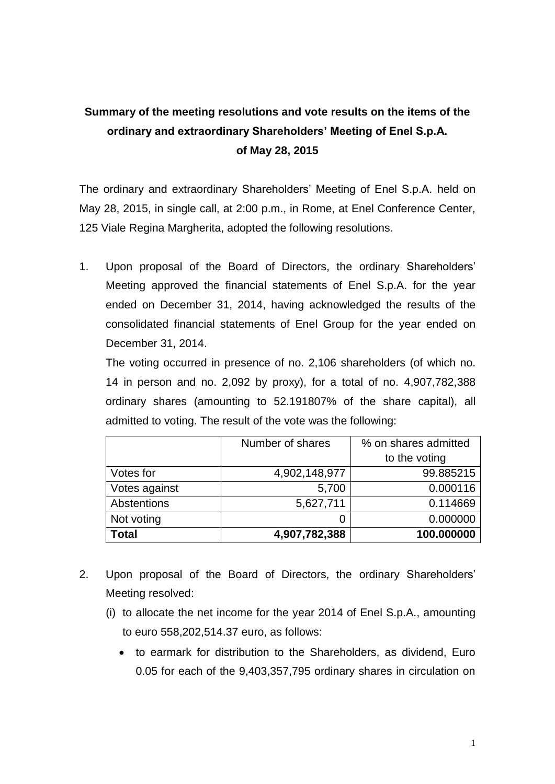## **Summary of the meeting resolutions and vote results on the items of the ordinary and extraordinary Shareholders' Meeting of Enel S.p.A. of May 28, 2015**

The ordinary and extraordinary Shareholders' Meeting of Enel S.p.A. held on May 28, 2015, in single call, at 2:00 p.m., in Rome, at Enel Conference Center, 125 Viale Regina Margherita, adopted the following resolutions.

1. Upon proposal of the Board of Directors, the ordinary Shareholders' Meeting approved the financial statements of Enel S.p.A. for the year ended on December 31, 2014, having acknowledged the results of the consolidated financial statements of Enel Group for the year ended on December 31, 2014.

The voting occurred in presence of no. 2,106 shareholders (of which no. 14 in person and no. 2,092 by proxy), for a total of no. 4,907,782,388 ordinary shares (amounting to 52.191807% of the share capital), all admitted to voting. The result of the vote was the following:

|               | Number of shares | % on shares admitted |
|---------------|------------------|----------------------|
|               |                  | to the voting        |
| Votes for     | 4,902,148,977    | 99.885215            |
| Votes against | 5,700            | 0.000116             |
| Abstentions   | 5,627,711        | 0.114669             |
| Not voting    |                  | 0.000000             |
| Total         | 4,907,782,388    | 100.000000           |

- 2. Upon proposal of the Board of Directors, the ordinary Shareholders' Meeting resolved:
	- (i) to allocate the net income for the year 2014 of Enel S.p.A., amounting to euro 558,202,514.37 euro, as follows:
		- to earmark for distribution to the Shareholders, as dividend, Euro 0.05 for each of the 9,403,357,795 ordinary shares in circulation on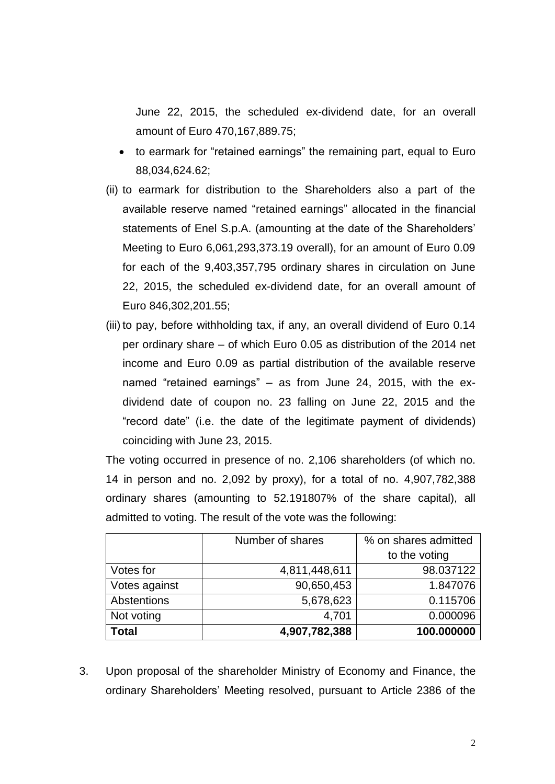June 22, 2015, the scheduled ex-dividend date, for an overall amount of Euro 470,167,889.75;

- to earmark for "retained earnings" the remaining part, equal to Euro 88,034,624.62;
- (ii) to earmark for distribution to the Shareholders also a part of the available reserve named "retained earnings" allocated in the financial statements of Enel S.p.A. (amounting at the date of the Shareholders' Meeting to Euro 6,061,293,373.19 overall), for an amount of Euro 0.09 for each of the 9,403,357,795 ordinary shares in circulation on June 22, 2015, the scheduled ex-dividend date, for an overall amount of Euro 846,302,201.55;
- (iii) to pay, before withholding tax, if any, an overall dividend of Euro 0.14 per ordinary share – of which Euro 0.05 as distribution of the 2014 net income and Euro 0.09 as partial distribution of the available reserve named "retained earnings" – as from June 24, 2015, with the exdividend date of coupon no. 23 falling on June 22, 2015 and the "record date" (i.e. the date of the legitimate payment of dividends) coinciding with June 23, 2015.

The voting occurred in presence of no. 2,106 shareholders (of which no. 14 in person and no. 2,092 by proxy), for a total of no. 4,907,782,388 ordinary shares (amounting to 52.191807% of the share capital), all admitted to voting. The result of the vote was the following:

|               | Number of shares | % on shares admitted |
|---------------|------------------|----------------------|
|               |                  | to the voting        |
| Votes for     | 4,811,448,611    | 98.037122            |
| Votes against | 90,650,453       | 1.847076             |
| Abstentions   | 5,678,623        | 0.115706             |
| Not voting    | 4,701            | 0.000096             |
| Total         | 4,907,782,388    | 100.000000           |

3. Upon proposal of the shareholder Ministry of Economy and Finance, the ordinary Shareholders' Meeting resolved, pursuant to Article 2386 of the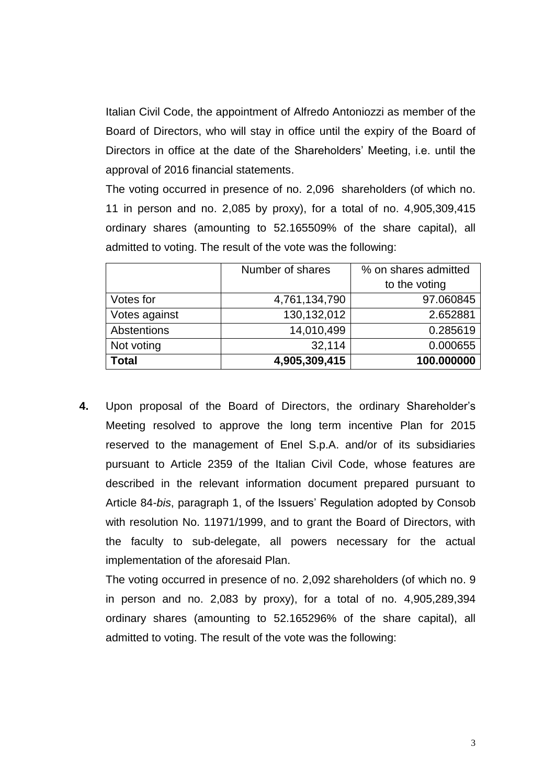Italian Civil Code, the appointment of Alfredo Antoniozzi as member of the Board of Directors, who will stay in office until the expiry of the Board of Directors in office at the date of the Shareholders' Meeting, i.e. until the approval of 2016 financial statements.

The voting occurred in presence of no. 2,096 shareholders (of which no. 11 in person and no. 2,085 by proxy), for a total of no. 4,905,309,415 ordinary shares (amounting to 52.165509% of the share capital), all admitted to voting. The result of the vote was the following:

|               | Number of shares | % on shares admitted |
|---------------|------------------|----------------------|
|               |                  | to the voting        |
| Votes for     | 4,761,134,790    | 97.060845            |
| Votes against | 130,132,012      | 2.652881             |
| Abstentions   | 14,010,499       | 0.285619             |
| Not voting    | 32,114           | 0.000655             |
| <b>Total</b>  | 4,905,309,415    | 100.000000           |

**4.** Upon proposal of the Board of Directors, the ordinary Shareholder's Meeting resolved to approve the long term incentive Plan for 2015 reserved to the management of Enel S.p.A. and/or of its subsidiaries pursuant to Article 2359 of the Italian Civil Code, whose features are described in the relevant information document prepared pursuant to Article 84-*bis*, paragraph 1, of the Issuers' Regulation adopted by Consob with resolution No. 11971/1999, and to grant the Board of Directors, with the faculty to sub-delegate, all powers necessary for the actual implementation of the aforesaid Plan.

The voting occurred in presence of no. 2,092 shareholders (of which no. 9 in person and no. 2,083 by proxy), for a total of no. 4,905,289,394 ordinary shares (amounting to 52.165296% of the share capital), all admitted to voting. The result of the vote was the following: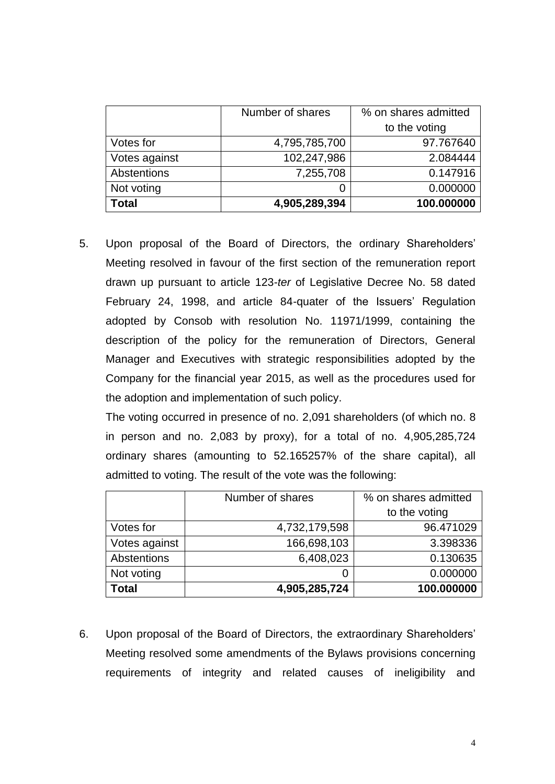|               | Number of shares | % on shares admitted |
|---------------|------------------|----------------------|
|               |                  | to the voting        |
| Votes for     | 4,795,785,700    | 97.767640            |
| Votes against | 102,247,986      | 2.084444             |
| Abstentions   | 7,255,708        | 0.147916             |
| Not voting    |                  | 0.000000             |
| <b>Total</b>  | 4,905,289,394    | 100.000000           |

5. Upon proposal of the Board of Directors, the ordinary Shareholders' Meeting resolved in favour of the first section of the remuneration report drawn up pursuant to article 123-*ter* of Legislative Decree No. 58 dated February 24, 1998, and article 84-quater of the Issuers' Regulation adopted by Consob with resolution No. 11971/1999, containing the description of the policy for the remuneration of Directors, General Manager and Executives with strategic responsibilities adopted by the Company for the financial year 2015, as well as the procedures used for the adoption and implementation of such policy.

The voting occurred in presence of no. 2,091 shareholders (of which no. 8 in person and no. 2,083 by proxy), for a total of no. 4,905,285,724 ordinary shares (amounting to 52.165257% of the share capital), all admitted to voting. The result of the vote was the following:

|               | Number of shares | % on shares admitted |
|---------------|------------------|----------------------|
|               |                  | to the voting        |
| Votes for     | 4,732,179,598    | 96.471029            |
| Votes against | 166,698,103      | 3.398336             |
| Abstentions   | 6,408,023        | 0.130635             |
| Not voting    | 0                | 0.000000             |
| Total         | 4,905,285,724    | 100.000000           |

6. Upon proposal of the Board of Directors, the extraordinary Shareholders' Meeting resolved some amendments of the Bylaws provisions concerning requirements of integrity and related causes of ineligibility and